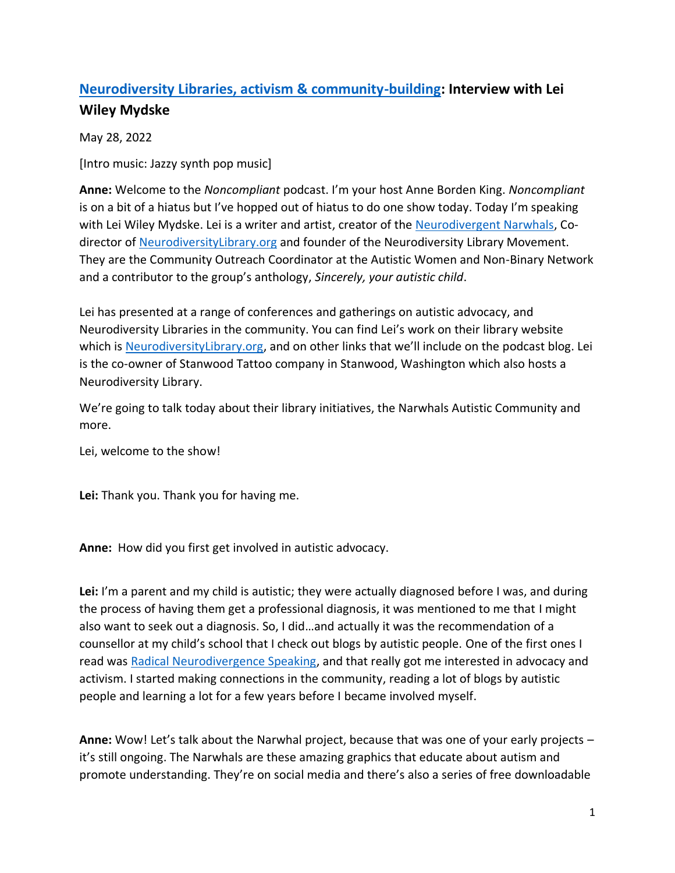## **[Neurodiversity Libraries, activism & community-building:](https://noncompliantpodcast.com/2022/05/28/neurodiversity-libraries-activism-community-building-interview-with-lei-wiley-mydske/) Interview with Lei Wiley Mydske**

May 28, 2022

[Intro music: Jazzy synth pop music]

**Anne:** Welcome to the *Noncompliant* podcast. I'm your host Anne Borden King. *Noncompliant*  is on a bit of a hiatus but I've hopped out of hiatus to do one show today. Today I'm speaking with Lei Wiley Mydske. Lei is a writer and artist, creator of th[e Neurodivergent Narwhals,](https://neurodiversitylibrary.org/neurodivergent-narwhals/) Co-director of [NeurodiversityLibrary.org](https://neurodiversitylibrary.org/) and founder of the Neurodiversity Library Movement. They are the Community Outreach Coordinator at the Autistic Women and Non-Binary Network and a contributor to the group's anthology, *Sincerely, your autistic child*.

Lei has presented at a range of conferences and gatherings on autistic advocacy, and Neurodiversity Libraries in the community. You can find Lei's work on their library website which is [NeurodiversityLibrary.org](https://neurodiversitylibrary.org/), and on other links that we'll include on the podcast blog. Lei is the co-owner of Stanwood Tattoo company in Stanwood, Washington which also hosts a Neurodiversity Library.

We're going to talk today about their library initiatives, the Narwhals Autistic Community and more.

Lei, welcome to the show!

**Lei:** Thank you. Thank you for having me.

**Anne:** How did you first get involved in autistic advocacy.

**Lei:** I'm a parent and my child is autistic; they were actually diagnosed before I was, and during the process of having them get a professional diagnosis, it was mentioned to me that I might also want to seek out a diagnosis. So, I did…and actually it was the recommendation of a counsellor at my child's school that I check out blogs by autistic people. One of the first ones I read was [Radical Neurodivergence Speaking,](http://timetolisten.blogspot.com/) and that really got me interested in advocacy and activism. I started making connections in the community, reading a lot of blogs by autistic people and learning a lot for a few years before I became involved myself.

**Anne:** Wow! Let's talk about the Narwhal project, because that was one of your early projects – it's still ongoing. The Narwhals are these amazing graphics that educate about autism and promote understanding. They're on social media and there's also a series of free downloadable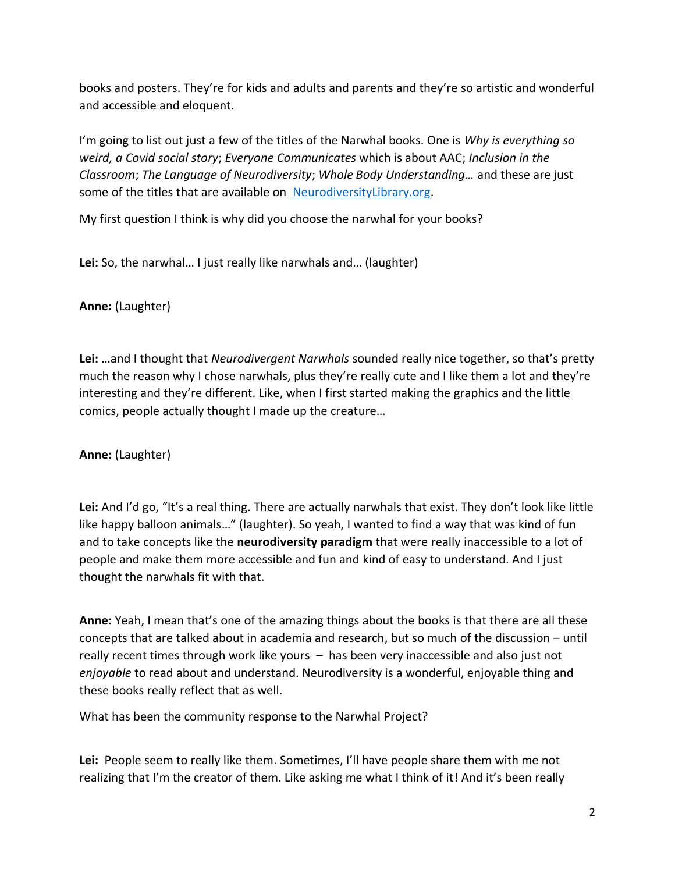books and posters. They're for kids and adults and parents and they're so artistic and wonderful and accessible and eloquent.

I'm going to list out just a few of the titles of the Narwhal books. One is *Why is everything so weird, a Covid social story*; *Everyone Communicates* which is about AAC; *Inclusion in the Classroom*; *The Language of Neurodiversity*; *Whole Body Understanding…* and these are just some of the titles that are available on [NeurodiversityLibrary.org.](https://neurodiversitylibrary.org/)

My first question I think is why did you choose the narwhal for your books?

**Lei:** So, the narwhal… I just really like narwhals and… (laughter)

**Anne:** (Laughter)

**Lei:** …and I thought that *Neurodivergent Narwhals* sounded really nice together, so that's pretty much the reason why I chose narwhals, plus they're really cute and I like them a lot and they're interesting and they're different. Like, when I first started making the graphics and the little comics, people actually thought I made up the creature…

**Anne:** (Laughter)

**Lei:** And I'd go, "It's a real thing. There are actually narwhals that exist. They don't look like little like happy balloon animals…" (laughter). So yeah, I wanted to find a way that was kind of fun and to take concepts like the **neurodiversity paradigm** that were really inaccessible to a lot of people and make them more accessible and fun and kind of easy to understand. And I just thought the narwhals fit with that.

**Anne:** Yeah, I mean that's one of the amazing things about the books is that there are all these concepts that are talked about in academia and research, but so much of the discussion – until really recent times through work like yours – has been very inaccessible and also just not *enjoyable* to read about and understand. Neurodiversity is a wonderful, enjoyable thing and these books really reflect that as well.

What has been the community response to the Narwhal Project?

**Lei:** People seem to really like them. Sometimes, I'll have people share them with me not realizing that I'm the creator of them. Like asking me what I think of it! And it's been really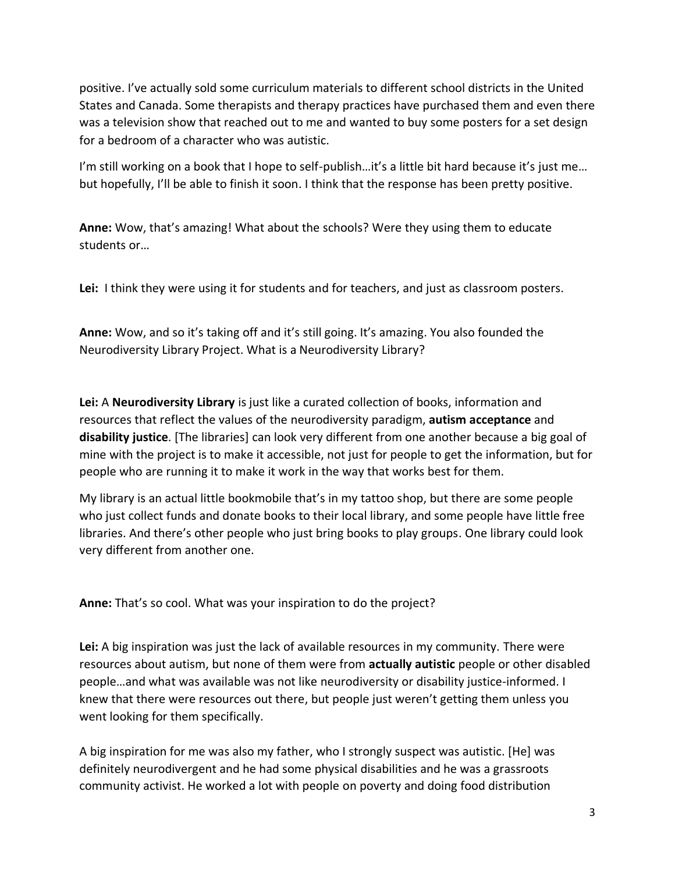positive. I've actually sold some curriculum materials to different school districts in the United States and Canada. Some therapists and therapy practices have purchased them and even there was a television show that reached out to me and wanted to buy some posters for a set design for a bedroom of a character who was autistic.

I'm still working on a book that I hope to self-publish...it's a little bit hard because it's just me... but hopefully, I'll be able to finish it soon. I think that the response has been pretty positive.

**Anne:** Wow, that's amazing! What about the schools? Were they using them to educate students or…

**Lei:** I think they were using it for students and for teachers, and just as classroom posters.

**Anne:** Wow, and so it's taking off and it's still going. It's amazing. You also founded the Neurodiversity Library Project. What is a Neurodiversity Library?

**Lei:** A **Neurodiversity Library** is just like a curated collection of books, information and resources that reflect the values of the neurodiversity paradigm, **autism acceptance** and **disability justice**. [The libraries] can look very different from one another because a big goal of mine with the project is to make it accessible, not just for people to get the information, but for people who are running it to make it work in the way that works best for them.

My library is an actual little bookmobile that's in my tattoo shop, but there are some people who just collect funds and donate books to their local library, and some people have little free libraries. And there's other people who just bring books to play groups. One library could look very different from another one.

**Anne:** That's so cool. What was your inspiration to do the project?

**Lei:** A big inspiration was just the lack of available resources in my community. There were resources about autism, but none of them were from **actually autistic** people or other disabled people…and what was available was not like neurodiversity or disability justice-informed. I knew that there were resources out there, but people just weren't getting them unless you went looking for them specifically.

A big inspiration for me was also my father, who I strongly suspect was autistic. [He] was definitely neurodivergent and he had some physical disabilities and he was a grassroots community activist. He worked a lot with people on poverty and doing food distribution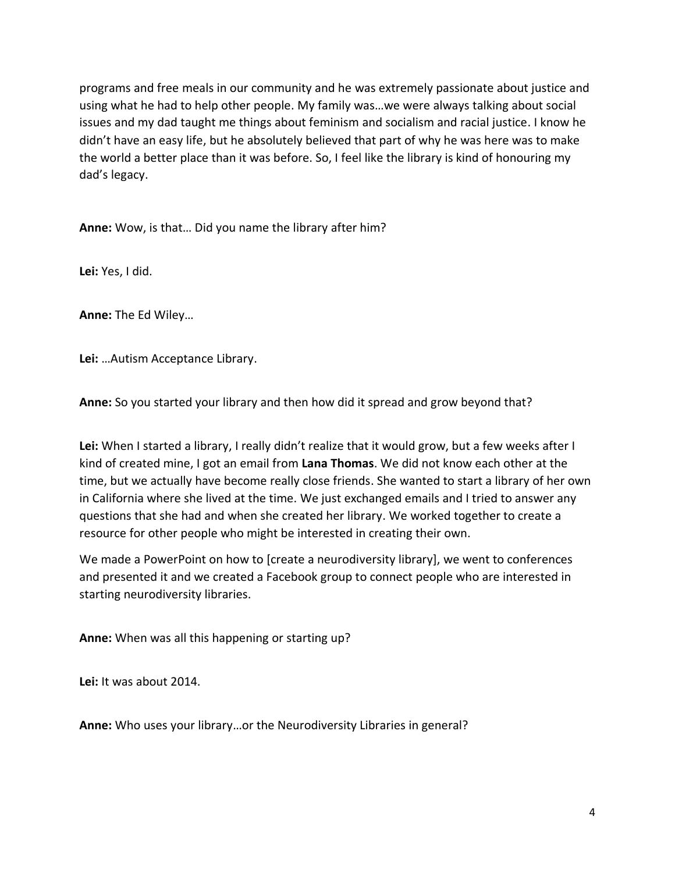programs and free meals in our community and he was extremely passionate about justice and using what he had to help other people. My family was…we were always talking about social issues and my dad taught me things about feminism and socialism and racial justice. I know he didn't have an easy life, but he absolutely believed that part of why he was here was to make the world a better place than it was before. So, I feel like the library is kind of honouring my dad's legacy.

**Anne:** Wow, is that… Did you name the library after him?

**Lei:** Yes, I did.

**Anne:** The Ed Wiley…

**Lei:** …Autism Acceptance Library.

**Anne:** So you started your library and then how did it spread and grow beyond that?

**Lei:** When I started a library, I really didn't realize that it would grow, but a few weeks after I kind of created mine, I got an email from **Lana Thomas**. We did not know each other at the time, but we actually have become really close friends. She wanted to start a library of her own in California where she lived at the time. We just exchanged emails and I tried to answer any questions that she had and when she created her library. We worked together to create a resource for other people who might be interested in creating their own.

We made a PowerPoint on how to [create a neurodiversity library], we went to conferences and presented it and we created a Facebook group to connect people who are interested in starting neurodiversity libraries.

**Anne:** When was all this happening or starting up?

**Lei:** It was about 2014.

**Anne:** Who uses your library…or the Neurodiversity Libraries in general?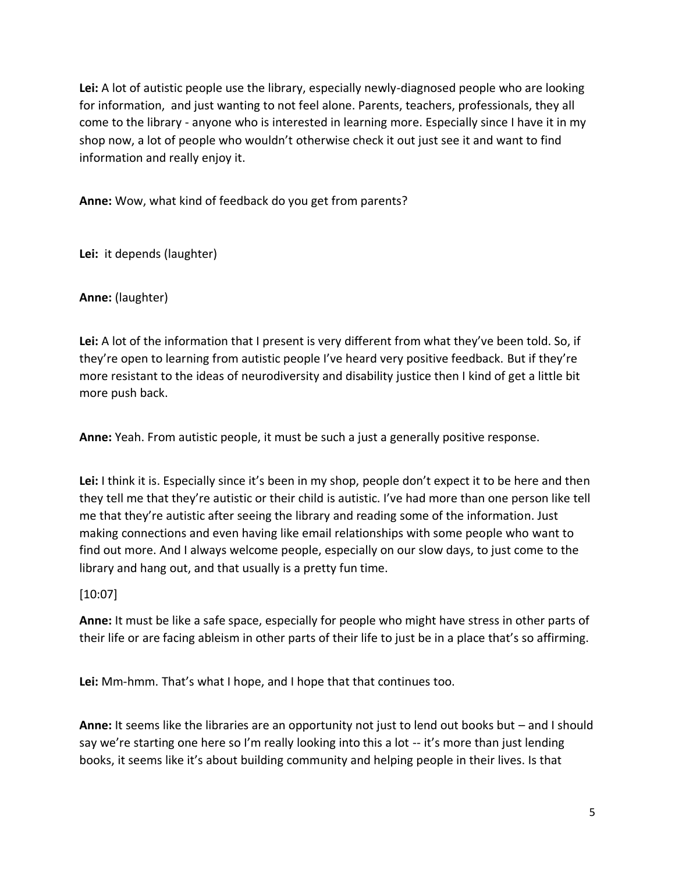**Lei:** A lot of autistic people use the library, especially newly-diagnosed people who are looking for information, and just wanting to not feel alone. Parents, teachers, professionals, they all come to the library - anyone who is interested in learning more. Especially since I have it in my shop now, a lot of people who wouldn't otherwise check it out just see it and want to find information and really enjoy it.

**Anne:** Wow, what kind of feedback do you get from parents?

**Lei:** it depends (laughter)

**Anne:** (laughter)

**Lei:** A lot of the information that I present is very different from what they've been told. So, if they're open to learning from autistic people I've heard very positive feedback. But if they're more resistant to the ideas of neurodiversity and disability justice then I kind of get a little bit more push back.

**Anne:** Yeah. From autistic people, it must be such a just a generally positive response.

**Lei:** I think it is. Especially since it's been in my shop, people don't expect it to be here and then they tell me that they're autistic or their child is autistic. I've had more than one person like tell me that they're autistic after seeing the library and reading some of the information. Just making connections and even having like email relationships with some people who want to find out more. And I always welcome people, especially on our slow days, to just come to the library and hang out, and that usually is a pretty fun time.

[10:07]

**Anne:** It must be like a safe space, especially for people who might have stress in other parts of their life or are facing ableism in other parts of their life to just be in a place that's so affirming.

**Lei:** Mm-hmm. That's what I hope, and I hope that that continues too.

**Anne:** It seems like the libraries are an opportunity not just to lend out books but – and I should say we're starting one here so I'm really looking into this a lot -- it's more than just lending books, it seems like it's about building community and helping people in their lives. Is that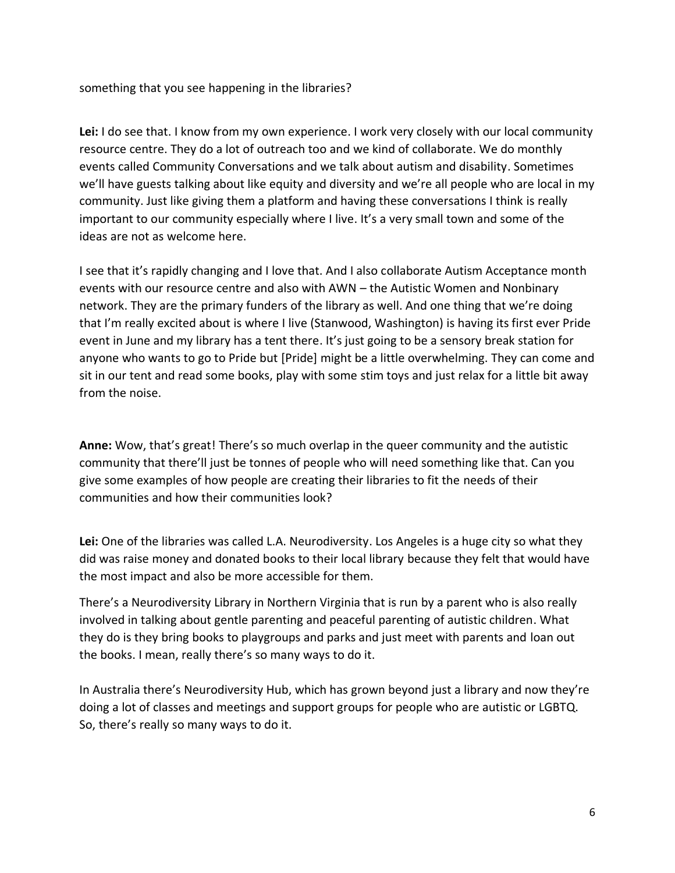something that you see happening in the libraries?

**Lei:** I do see that. I know from my own experience. I work very closely with our local community resource centre. They do a lot of outreach too and we kind of collaborate. We do monthly events called Community Conversations and we talk about autism and disability. Sometimes we'll have guests talking about like equity and diversity and we're all people who are local in my community. Just like giving them a platform and having these conversations I think is really important to our community especially where I live. It's a very small town and some of the ideas are not as welcome here.

I see that it's rapidly changing and I love that. And I also collaborate Autism Acceptance month events with our resource centre and also with AWN – the Autistic Women and Nonbinary network. They are the primary funders of the library as well. And one thing that we're doing that I'm really excited about is where I live (Stanwood, Washington) is having its first ever Pride event in June and my library has a tent there. It's just going to be a sensory break station for anyone who wants to go to Pride but [Pride] might be a little overwhelming. They can come and sit in our tent and read some books, play with some stim toys and just relax for a little bit away from the noise.

**Anne:** Wow, that's great! There's so much overlap in the queer community and the autistic community that there'll just be tonnes of people who will need something like that. Can you give some examples of how people are creating their libraries to fit the needs of their communities and how their communities look?

**Lei:** One of the libraries was called L.A. Neurodiversity. Los Angeles is a huge city so what they did was raise money and donated books to their local library because they felt that would have the most impact and also be more accessible for them.

There's a Neurodiversity Library in Northern Virginia that is run by a parent who is also really involved in talking about gentle parenting and peaceful parenting of autistic children. What they do is they bring books to playgroups and parks and just meet with parents and loan out the books. I mean, really there's so many ways to do it.

In Australia there's Neurodiversity Hub, which has grown beyond just a library and now they're doing a lot of classes and meetings and support groups for people who are autistic or LGBTQ. So, there's really so many ways to do it.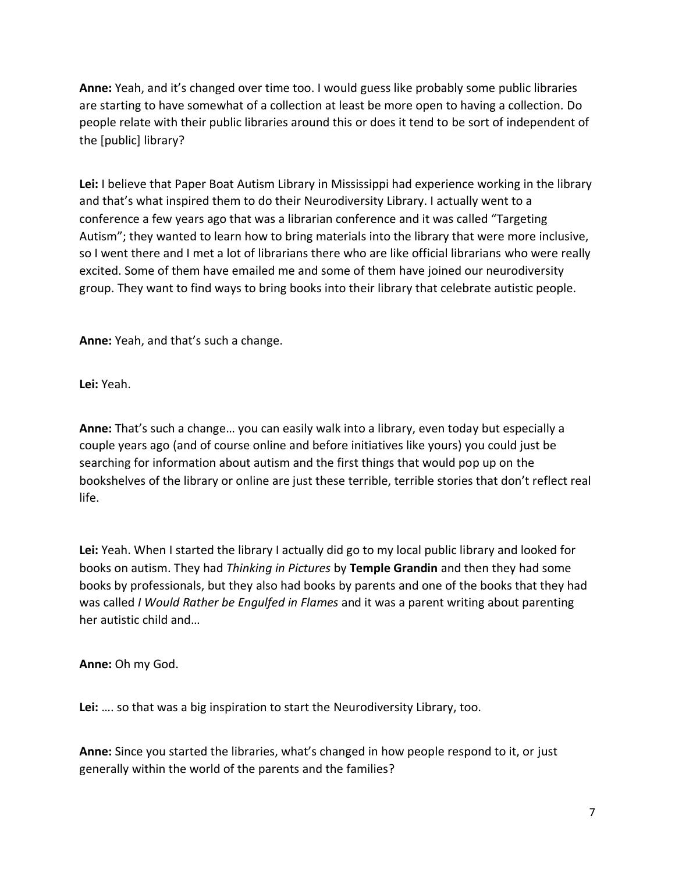**Anne:** Yeah, and it's changed over time too. I would guess like probably some public libraries are starting to have somewhat of a collection at least be more open to having a collection. Do people relate with their public libraries around this or does it tend to be sort of independent of the [public] library?

**Lei:** I believe that Paper Boat Autism Library in Mississippi had experience working in the library and that's what inspired them to do their Neurodiversity Library. I actually went to a conference a few years ago that was a librarian conference and it was called "Targeting Autism"; they wanted to learn how to bring materials into the library that were more inclusive, so I went there and I met a lot of librarians there who are like official librarians who were really excited. Some of them have emailed me and some of them have joined our neurodiversity group. They want to find ways to bring books into their library that celebrate autistic people.

**Anne:** Yeah, and that's such a change.

**Lei:** Yeah.

**Anne:** That's such a change… you can easily walk into a library, even today but especially a couple years ago (and of course online and before initiatives like yours) you could just be searching for information about autism and the first things that would pop up on the bookshelves of the library or online are just these terrible, terrible stories that don't reflect real life.

**Lei:** Yeah. When I started the library I actually did go to my local public library and looked for books on autism. They had *Thinking in Pictures* by **Temple Grandin** and then they had some books by professionals, but they also had books by parents and one of the books that they had was called *I Would Rather be Engulfed in Flames* and it was a parent writing about parenting her autistic child and…

**Anne:** Oh my God.

**Lei:** …. so that was a big inspiration to start the Neurodiversity Library, too.

**Anne:** Since you started the libraries, what's changed in how people respond to it, or just generally within the world of the parents and the families?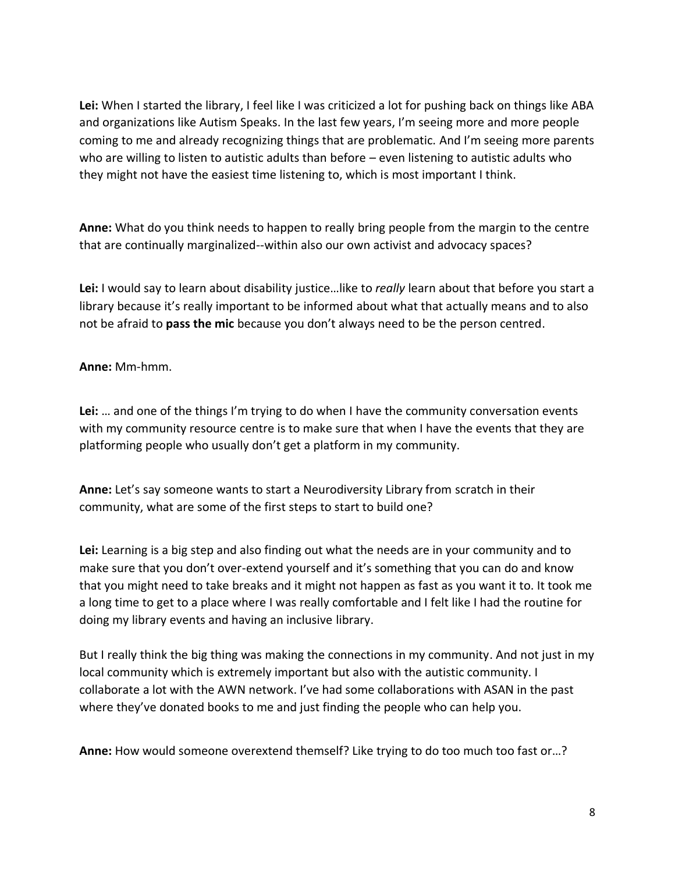**Lei:** When I started the library, I feel like I was criticized a lot for pushing back on things like ABA and organizations like Autism Speaks. In the last few years, I'm seeing more and more people coming to me and already recognizing things that are problematic. And I'm seeing more parents who are willing to listen to autistic adults than before – even listening to autistic adults who they might not have the easiest time listening to, which is most important I think.

**Anne:** What do you think needs to happen to really bring people from the margin to the centre that are continually marginalized--within also our own activist and advocacy spaces?

**Lei:** I would say to learn about disability justice…like to *really* learn about that before you start a library because it's really important to be informed about what that actually means and to also not be afraid to **pass the mic** because you don't always need to be the person centred.

**Anne:** Mm-hmm.

**Lei:** … and one of the things I'm trying to do when I have the community conversation events with my community resource centre is to make sure that when I have the events that they are platforming people who usually don't get a platform in my community.

**Anne:** Let's say someone wants to start a Neurodiversity Library from scratch in their community, what are some of the first steps to start to build one?

**Lei:** Learning is a big step and also finding out what the needs are in your community and to make sure that you don't over-extend yourself and it's something that you can do and know that you might need to take breaks and it might not happen as fast as you want it to. It took me a long time to get to a place where I was really comfortable and I felt like I had the routine for doing my library events and having an inclusive library.

But I really think the big thing was making the connections in my community. And not just in my local community which is extremely important but also with the autistic community. I collaborate a lot with the AWN network. I've had some collaborations with ASAN in the past where they've donated books to me and just finding the people who can help you.

**Anne:** How would someone overextend themself? Like trying to do too much too fast or…?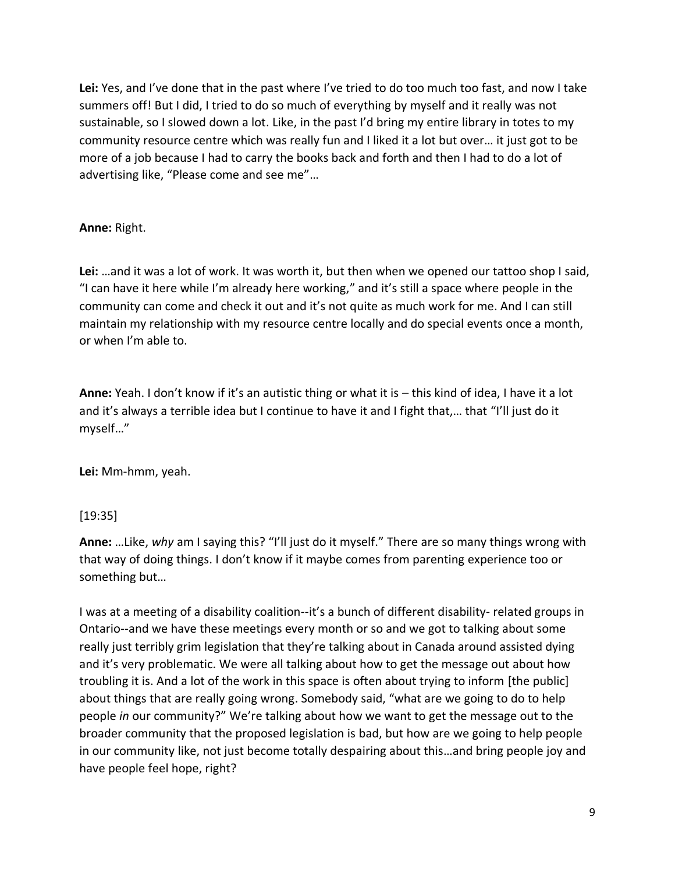**Lei:** Yes, and I've done that in the past where I've tried to do too much too fast, and now I take summers off! But I did, I tried to do so much of everything by myself and it really was not sustainable, so I slowed down a lot. Like, in the past I'd bring my entire library in totes to my community resource centre which was really fun and I liked it a lot but over… it just got to be more of a job because I had to carry the books back and forth and then I had to do a lot of advertising like, "Please come and see me"…

## **Anne:** Right.

**Lei:** …and it was a lot of work. It was worth it, but then when we opened our tattoo shop I said, "I can have it here while I'm already here working," and it's still a space where people in the community can come and check it out and it's not quite as much work for me. And I can still maintain my relationship with my resource centre locally and do special events once a month, or when I'm able to.

**Anne:** Yeah. I don't know if it's an autistic thing or what it is – this kind of idea, I have it a lot and it's always a terrible idea but I continue to have it and I fight that,… that "I'll just do it myself…"

**Lei:** Mm-hmm, yeah.

## [19:35]

**Anne:** …Like, *why* am I saying this? "I'll just do it myself." There are so many things wrong with that way of doing things. I don't know if it maybe comes from parenting experience too or something but…

I was at a meeting of a disability coalition--it's a bunch of different disability- related groups in Ontario--and we have these meetings every month or so and we got to talking about some really just terribly grim legislation that they're talking about in Canada around assisted dying and it's very problematic. We were all talking about how to get the message out about how troubling it is. And a lot of the work in this space is often about trying to inform [the public] about things that are really going wrong. Somebody said, "what are we going to do to help people *in* our community?" We're talking about how we want to get the message out to the broader community that the proposed legislation is bad, but how are we going to help people in our community like, not just become totally despairing about this…and bring people joy and have people feel hope, right?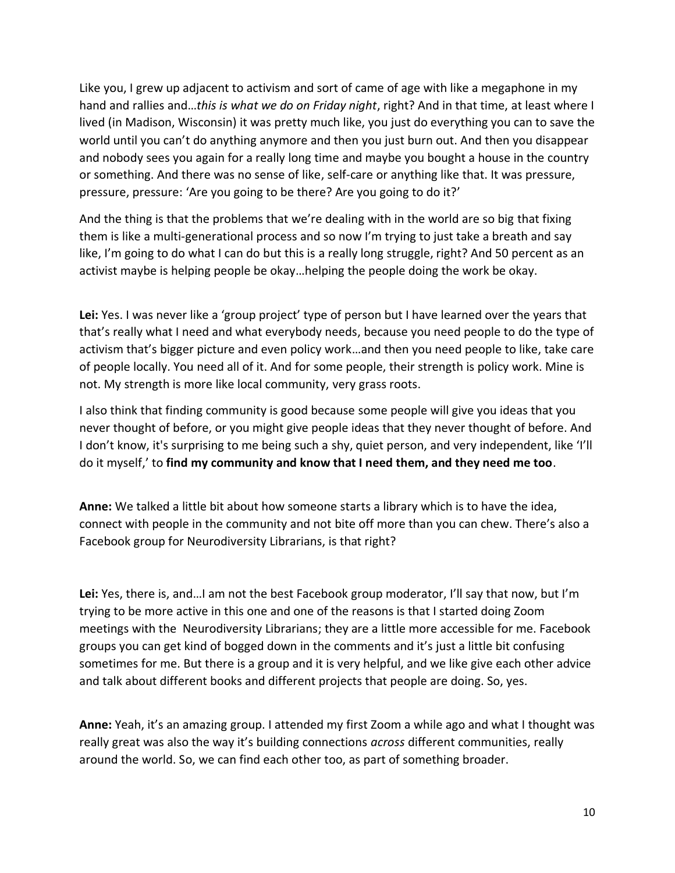Like you, I grew up adjacent to activism and sort of came of age with like a megaphone in my hand and rallies and…*this is what we do on Friday night*, right? And in that time, at least where I lived (in Madison, Wisconsin) it was pretty much like, you just do everything you can to save the world until you can't do anything anymore and then you just burn out. And then you disappear and nobody sees you again for a really long time and maybe you bought a house in the country or something. And there was no sense of like, self-care or anything like that. It was pressure, pressure, pressure: 'Are you going to be there? Are you going to do it?'

And the thing is that the problems that we're dealing with in the world are so big that fixing them is like a multi-generational process and so now I'm trying to just take a breath and say like, I'm going to do what I can do but this is a really long struggle, right? And 50 percent as an activist maybe is helping people be okay…helping the people doing the work be okay.

Lei: Yes. I was never like a 'group project' type of person but I have learned over the years that that's really what I need and what everybody needs, because you need people to do the type of activism that's bigger picture and even policy work…and then you need people to like, take care of people locally. You need all of it. And for some people, their strength is policy work. Mine is not. My strength is more like local community, very grass roots.

I also think that finding community is good because some people will give you ideas that you never thought of before, or you might give people ideas that they never thought of before. And I don't know, it's surprising to me being such a shy, quiet person, and very independent, like 'I'll do it myself,' to **find my community and know that I need them, and they need me too**.

**Anne:** We talked a little bit about how someone starts a library which is to have the idea, connect with people in the community and not bite off more than you can chew. There's also a Facebook group for Neurodiversity Librarians, is that right?

Lei: Yes, there is, and...I am not the best Facebook group moderator, I'll say that now, but I'm trying to be more active in this one and one of the reasons is that I started doing Zoom meetings with the Neurodiversity Librarians; they are a little more accessible for me. Facebook groups you can get kind of bogged down in the comments and it's just a little bit confusing sometimes for me. But there is a group and it is very helpful, and we like give each other advice and talk about different books and different projects that people are doing. So, yes.

**Anne:** Yeah, it's an amazing group. I attended my first Zoom a while ago and what I thought was really great was also the way it's building connections *across* different communities, really around the world. So, we can find each other too, as part of something broader.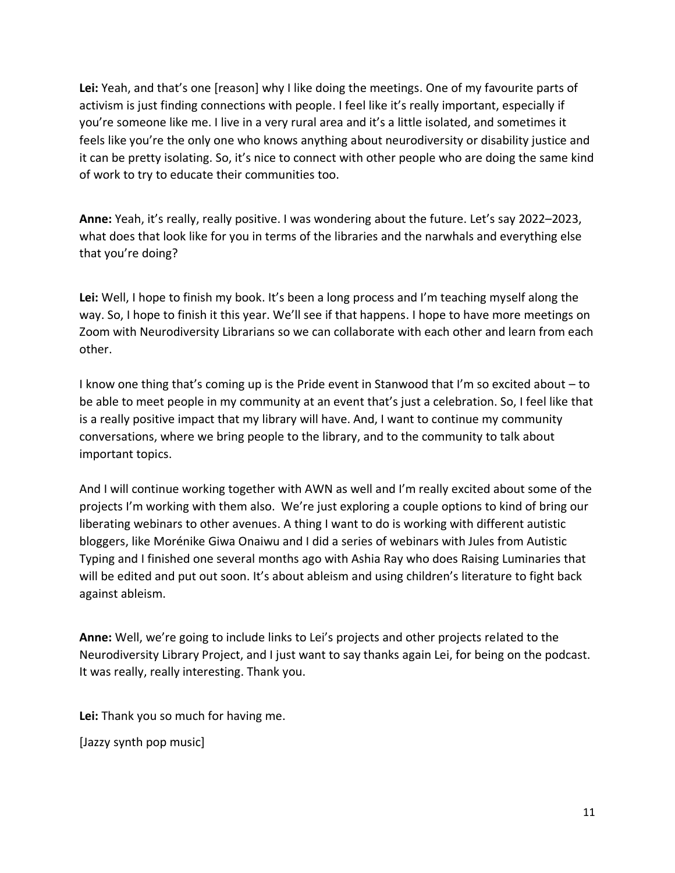Lei: Yeah, and that's one [reason] why I like doing the meetings. One of my favourite parts of activism is just finding connections with people. I feel like it's really important, especially if you're someone like me. I live in a very rural area and it's a little isolated, and sometimes it feels like you're the only one who knows anything about neurodiversity or disability justice and it can be pretty isolating. So, it's nice to connect with other people who are doing the same kind of work to try to educate their communities too.

**Anne:** Yeah, it's really, really positive. I was wondering about the future. Let's say 2022–2023, what does that look like for you in terms of the libraries and the narwhals and everything else that you're doing?

**Lei:** Well, I hope to finish my book. It's been a long process and I'm teaching myself along the way. So, I hope to finish it this year. We'll see if that happens. I hope to have more meetings on Zoom with Neurodiversity Librarians so we can collaborate with each other and learn from each other.

I know one thing that's coming up is the Pride event in Stanwood that I'm so excited about – to be able to meet people in my community at an event that's just a celebration. So, I feel like that is a really positive impact that my library will have. And, I want to continue my community conversations, where we bring people to the library, and to the community to talk about important topics.

And I will continue working together with AWN as well and I'm really excited about some of the projects I'm working with them also. We're just exploring a couple options to kind of bring our liberating webinars to other avenues. A thing I want to do is working with different autistic bloggers, like Morénike Giwa Onaiwu and I did a series of webinars with Jules from Autistic Typing and I finished one several months ago with Ashia Ray who does Raising Luminaries that will be edited and put out soon. It's about ableism and using children's literature to fight back against ableism.

**Anne:** Well, we're going to include links to Lei's projects and other projects related to the Neurodiversity Library Project, and I just want to say thanks again Lei, for being on the podcast. It was really, really interesting. Thank you.

**Lei:** Thank you so much for having me.

[Jazzy synth pop music]